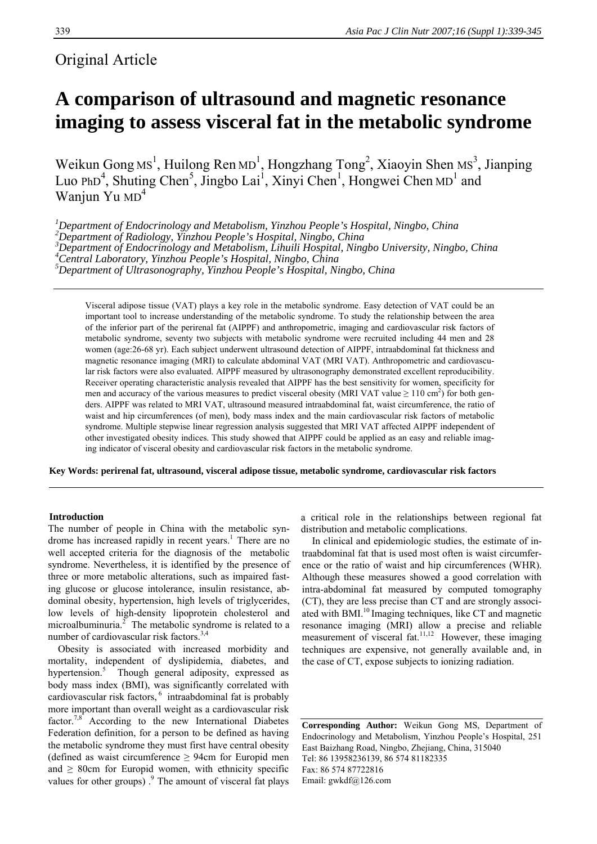# Original Article

# **A comparison of ultrasound and magnetic resonance imaging to assess visceral fat in the metabolic syndrome**

Weikun Gong Ms<sup>1</sup>, Huilong Ren MD<sup>1</sup>, Hongzhang Tong<sup>2</sup>, Xiaoyin Shen Ms<sup>3</sup>, Jianping Luo PhD<sup>4</sup>, Shuting Chen<sup>5</sup>, Jingbo Lai<sup>1</sup>, Xinyi Chen<sup>1</sup>, Hongwei Chen MD<sup>1</sup> and Wanjun Yu MD<sup>4</sup>

*1 Department of Endocrinology and Metabolism, Yinzhou People's Hospital, Ningbo, China 2 Department of Radiology, Yinzhou People's Hospital, Ningbo, China 3 Department of Endocrinology and Metabolism, Lihuili Hospital, Ningbo University, Ningbo, China 4 Central Laboratory, Yinzhou People's Hospital, Ningbo, China 5 Department of Ultrasonography, Yinzhou People's Hospital, Ningbo, China* 

Visceral adipose tissue (VAT) plays a key role in the metabolic syndrome. Easy detection of VAT could be an important tool to increase understanding of the metabolic syndrome. To study the relationship between the area of the inferior part of the perirenal fat (AIPPF) and anthropometric, imaging and cardiovascular risk factors of metabolic syndrome, seventy two subjects with metabolic syndrome were recruited including 44 men and 28 women (age:26-68 yr). Each subject underwent ultrasound detection of AIPPF, intraabdominal fat thickness and magnetic resonance imaging (MRI) to calculate abdominal VAT (MRI VAT). Anthropometric and cardiovascular risk factors were also evaluated. AIPPF measured by ultrasonography demonstrated excellent reproducibility. Receiver operating characteristic analysis revealed that AIPPF has the best sensitivity for women, specificity for men and accuracy of the various measures to predict visceral obesity (MRI VAT value  $\geq 110 \text{ cm}^2$ ) for both genders. AIPPF was related to MRI VAT, ultrasound measured intraabdominal fat, waist circumference, the ratio of waist and hip circumferences (of men), body mass index and the main cardiovascular risk factors of metabolic syndrome. Multiple stepwise linear regression analysis suggested that MRI VAT affected AIPPF independent of other investigated obesity indices. This study showed that AIPPF could be applied as an easy and reliable imaging indicator of visceral obesity and cardiovascular risk factors in the metabolic syndrome.

**Key Words: perirenal fat, ultrasound, visceral adipose tissue, metabolic syndrome, cardiovascular risk factors** 

#### **Introduction**

The number of people in China with the metabolic syndrome has increased rapidly in recent years.<sup>1</sup> There are no well accepted criteria for the diagnosis of the metabolic syndrome. Nevertheless, it is identified by the presence of three or more metabolic alterations, such as impaired fasting glucose or glucose intolerance, insulin resistance, abdominal obesity, hypertension, high levels of triglycerides, low levels of high-density lipoprotein cholesterol and microalbuminuria. $2\overline{ }$  The metabolic syndrome is related to a number of cardiovascular risk factors.<sup>3,4</sup>

Obesity is associated with increased morbidity and mortality, independent of dyslipidemia, diabetes, and hypertension.<sup>5</sup> Though general adiposity, expressed as body mass index (BMI), was significantly correlated with cardiovascular risk factors, <sup>6</sup> intraabdominal fat is probably more important than overall weight as a cardiovascular risk factor.<sup>7,8</sup> According to the new International Diabetes Federation definition, for a person to be defined as having the metabolic syndrome they must first have central obesity (defined as waist circumference  $\geq$  94cm for Europid men and  $\geq$  80cm for Europid women, with ethnicity specific values for other groups). $\frac{9}{5}$  The amount of visceral fat plays a critical role in the relationships between regional fat distribution and metabolic complications.

In clinical and epidemiologic studies, the estimate of intraabdominal fat that is used most often is waist circumference or the ratio of waist and hip circumferences (WHR). Although these measures showed a good correlation with intra-abdominal fat measured by computed tomography (CT), they are less precise than CT and are strongly associated with BMI.<sup>10</sup> Imaging techniques, like CT and magnetic resonance imaging (MRI) allow a precise and reliable measurement of visceral fat.<sup>11,12</sup> However, these imaging techniques are expensive, not generally available and, in the case of CT, expose subjects to ionizing radiation.

**Corresponding Author:** Weikun Gong MS, Department of Endocrinology and Metabolism, Yinzhou People's Hospital, 251 East Baizhang Road, Ningbo, Zhejiang, China, 315040 Tel: 86 13958236139, 86 574 81182335 Fax: 86 574 87722816 Email: gwkdf@126.com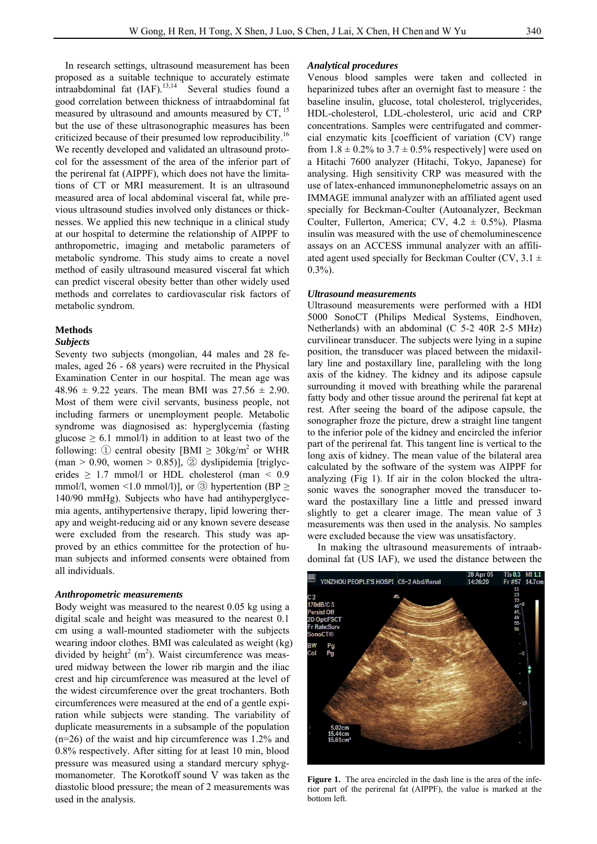In research settings, ultrasound measurement has been proposed as a suitable technique to accurately estimate  $intra*bb*ominal fat (IAF).<sup>13,14</sup> Several studies found a$ good correlation between thickness of intraabdominal fat measured by ultrasound and amounts measured by  $CT$ ,  $^{15}$ but the use of these ultrasonographic measures has been criticized because of their presumed low reproducibility.<sup>16</sup> We recently developed and validated an ultrasound protocol for the assessment of the area of the inferior part of the perirenal fat (AIPPF), which does not have the limitations of CT or MRI measurement. It is an ultrasound measured area of local abdominal visceral fat, while previous ultrasound studies involved only distances or thicknesses. We applied this new technique in a clinical study at our hospital to determine the relationship of AIPPF to anthropometric, imaging and metabolic parameters of metabolic syndrome. This study aims to create a novel method of easily ultrasound measured visceral fat which can predict visceral obesity better than other widely used methods and correlates to cardiovascular risk factors of metabolic syndrom.

### **Methods**

#### *Subjects*

Seventy two subjects (mongolian, 44 males and 28 females, aged 26 - 68 years) were recruited in the Physical Examination Center in our hospital. The mean age was 48.96  $\pm$  9.22 years. The mean BMI was 27.56  $\pm$  2.90. Most of them were civil servants, business people, not including farmers or unemployment people. Metabolic syndrome was diagnosised as: hyperglycemia (fasting glucose  $\geq 6.1$  mmol/l) in addition to at least two of the following: ① central obesity  $[BMI \geq 30 \text{kg/m}^2]$  or WHR  $(man > 0.90, women > 0.85)$ ], ② dyslipidemia [triglycerides  $\geq$  1.7 mmol/l or HDL cholesterol (man  $\leq$  0.9 mmol/l, women <1.0 mmol/l)], or  $\circled{3}$  hypertention (BP  $\geq$ 140/90 mmHg). Subjects who have had antihyperglycemia agents, antihypertensive therapy, lipid lowering therapy and weight-reducing aid or any known severe desease were excluded from the research. This study was approved by an ethics committee for the protection of human subjects and informed consents were obtained from all individuals.

#### *Anthropometric measurements*

Body weight was measured to the nearest 0.05 kg using a digital scale and height was measured to the nearest 0.1 cm using a wall-mounted stadiometer with the subjects wearing indoor clothes. BMI was calculated as weight (kg) divided by height<sup>2</sup> (m<sup>2</sup>). Waist circumference was measured midway between the lower rib margin and the iliac crest and hip circumference was measured at the level of the widest circumference over the great trochanters. Both circumferences were measured at the end of a gentle expiration while subjects were standing. The variability of duplicate measurements in a subsample of the population (n=26) of the waist and hip circumference was 1.2% and 0.8% respectively. After sitting for at least 10 min, blood pressure was measured using a standard mercury sphygmomanometer. The Korotkoff sound V was taken as the diastolic blood pressure; the mean of 2 measurements was used in the analysis.

# *Analytical procedures*

Venous blood samples were taken and collected in heparinized tubes after an overnight fast to measure: the baseline insulin, glucose, total cholesterol, triglycerides, HDL-cholesterol, LDL-cholesterol, uric acid and CRP concentrations. Samples were centrifugated and commercial enzymatic kits [coefficient of variation (CV) range from  $1.8 \pm 0.2\%$  to  $3.7 \pm 0.5\%$  respectively were used on a Hitachi 7600 analyzer (Hitachi, Tokyo, Japanese) for analysing. High sensitivity CRP was measured with the use of latex-enhanced immunonephelometric assays on an IMMAGE immunal analyzer with an affiliated agent used specially for Beckman-Coulter (Autoanalyzer, Beckman Coulter, Fullerton, America; CV,  $4.2 \pm 0.5\%$ ). Plasma insulin was measured with the use of chemoluminescence assays on an ACCESS immunal analyzer with an affiliated agent used specially for Beckman Coulter (CV,  $3.1 \pm$  $0.3\%$ ).

#### *Ultrasound measurements*

Ultrasound measurements were performed with a HDI 5000 SonoCT (Philips Medical Systems, Eindhoven, Netherlands) with an abdominal (C 5-2 40R 2-5 MHz) curvilinear transducer. The subjects were lying in a supine position, the transducer was placed between the midaxillary line and postaxillary line, paralleling with the long axis of the kidney. The kidney and its adipose capsule surrounding it moved with breathing while the pararenal fatty body and other tissue around the perirenal fat kept at rest. After seeing the board of the adipose capsule, the sonographer froze the picture, drew a straight line tangent to the inferior pole of the kidney and encircled the inferior part of the perirenal fat. This tangent line is vertical to the long axis of kidney. The mean value of the bilateral area calculated by the software of the system was AIPPF for analyzing (Fig 1). If air in the colon blocked the ultrasonic waves the sonographer moved the transducer toward the postaxillary line a little and pressed inward slightly to get a clearer image. The mean value of 3 measurements was then used in the analysis. No samples were excluded because the view was unsatisfactory.

 In making the ultrasound measurements of intraabdominal fat (US IAF), we used the distance between the



**Figure 1.** The area encircled in the dash line is the area of the inferior part of the perirenal fat (AIPPF), the value is marked at the bottom left.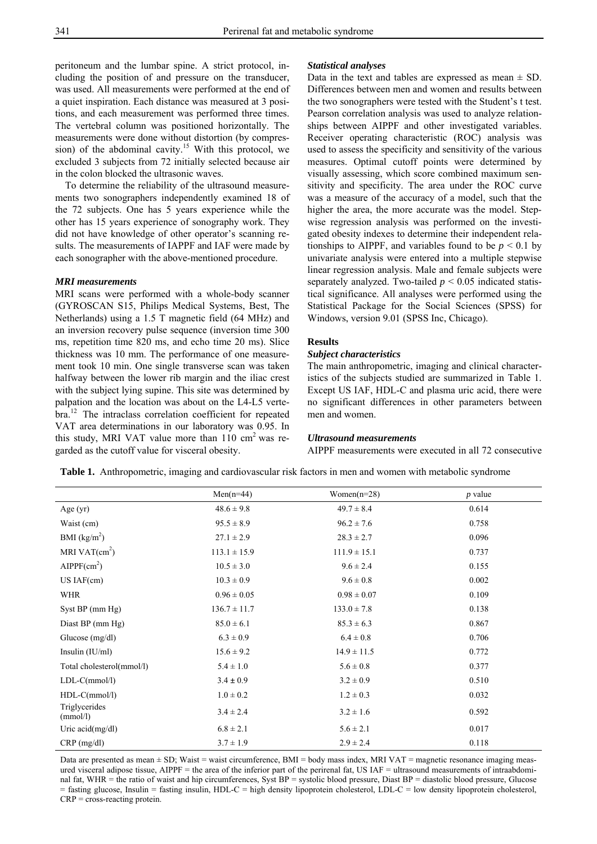peritoneum and the lumbar spine. A strict protocol, including the position of and pressure on the transducer, was used. All measurements were performed at the end of a quiet inspiration. Each distance was measured at 3 positions, and each measurement was performed three times. The vertebral column was positioned horizontally. The measurements were done without distortion (by compression) of the abdominal cavity.<sup>15</sup> With this protocol, we excluded 3 subjects from 72 initially selected because air in the colon blocked the ultrasonic waves.

To determine the reliability of the ultrasound measurements two sonographers independently examined 18 of the 72 subjects. One has 5 years experience while the other has 15 years experience of sonography work. They did not have knowledge of other operator's scanning results. The measurements of IAPPF and IAF were made by each sonographer with the above-mentioned procedure.

# *MRI measurements*

MRI scans were performed with a whole-body scanner (GYROSCAN S15, Philips Medical Systems, Best, The Netherlands) using a 1.5 T magnetic field (64 MHz) and an inversion recovery pulse sequence (inversion time 300 ms, repetition time 820 ms, and echo time 20 ms). Slice thickness was 10 mm. The performance of one measurement took 10 min. One single transverse scan was taken halfway between the lower rib margin and the iliac crest with the subject lying supine. This site was determined by palpation and the location was about on the L4-L5 vertebra.12 The intraclass correlation coefficient for repeated VAT area determinations in our laboratory was 0.95. In this study, MRI VAT value more than  $110 \text{ cm}^2$  was regarded as the cutoff value for visceral obesity.

#### *Statistical analyses*

Data in the text and tables are expressed as mean  $\pm$  SD. Differences between men and women and results between the two sonographers were tested with the Student's t test. Pearson correlation analysis was used to analyze relationships between AIPPF and other investigated variables. Receiver operating characteristic (ROC) analysis was used to assess the specificity and sensitivity of the various measures. Optimal cutoff points were determined by visually assessing, which score combined maximum sensitivity and specificity. The area under the ROC curve was a measure of the accuracy of a model, such that the higher the area, the more accurate was the model. Stepwise regression analysis was performed on the investigated obesity indexes to determine their independent relationships to AIPPF, and variables found to be  $p < 0.1$  by univariate analysis were entered into a multiple stepwise linear regression analysis. Male and female subjects were separately analyzed. Two-tailed  $p \leq 0.05$  indicated statistical significance. All analyses were performed using the Statistical Package for the Social Sciences (SPSS) for Windows, version 9.01 (SPSS Inc, Chicago).

#### **Results**

## *Subject characteristics*

The main anthropometric, imaging and clinical characteristics of the subjects studied are summarized in Table 1. Except US IAF, HDL-C and plasma uric acid, there were no significant differences in other parameters between men and women.

# *Ultrasound measurements*

AIPPF measurements were executed in all 72 consecutive

**Table 1.** Anthropometric, imaging and cardiovascular risk factors in men and women with metabolic syndrome

|                           | $Men(n=44)$      | Women $(n=28)$   | $p$ value |
|---------------------------|------------------|------------------|-----------|
| Age $(yr)$                | $48.6 \pm 9.8$   | $49.7 \pm 8.4$   | 0.614     |
| Waist (cm)                | $95.5 \pm 8.9$   | $96.2 \pm 7.6$   | 0.758     |
| BMI $(kg/m2)$             | $27.1 \pm 2.9$   | $28.3 \pm 2.7$   | 0.096     |
| MRI VAT $(cm2)$           | $113.1 \pm 15.9$ | $111.9 \pm 15.1$ | 0.737     |
| AIPPF(cm <sup>2</sup> )   | $10.5 \pm 3.0$   | $9.6 \pm 2.4$    | 0.155     |
| $USIAF$ (cm)              | $10.3 \pm 0.9$   | $9.6 \pm 0.8$    | 0.002     |
| <b>WHR</b>                | $0.96 \pm 0.05$  | $0.98 \pm 0.07$  | 0.109     |
| Syst BP (mm Hg)           | $136.7 \pm 11.7$ | $133.0 \pm 7.8$  | 0.138     |
| Diast BP (mm Hg)          | $85.0 \pm 6.1$   | $85.3 \pm 6.3$   | 0.867     |
| Glucose $(mg/dl)$         | $6.3 \pm 0.9$    | $6.4 \pm 0.8$    | 0.706     |
| Insulin $(IU/ml)$         | $15.6 \pm 9.2$   | $14.9 \pm 11.5$  | 0.772     |
| Total cholesterol(mmol/l) | $5.4 \pm 1.0$    | $5.6 \pm 0.8$    | 0.377     |
| $LDL-C(mmol/l)$           | $3.4 \pm 0.9$    | $3.2 \pm 0.9$    | 0.510     |
| $HDL-C(mmol/l)$           | $1.0 \pm 0.2$    | $1.2 \pm 0.3$    | 0.032     |
| Triglycerides<br>(mmol/l) | $3.4 \pm 2.4$    | $3.2 \pm 1.6$    | 0.592     |
| Uric $\text{acid}(mg/dl)$ | $6.8 \pm 2.1$    | $5.6 \pm 2.1$    | 0.017     |
| $CRP$ (mg/dl)             | $3.7 \pm 1.9$    | $2.9 \pm 2.4$    | 0.118     |

Data are presented as mean  $\pm$  SD; Waist = waist circumference, BMI = body mass index, MRI VAT = magnetic resonance imaging measured visceral adipose tissue, AIPPF = the area of the inferior part of the perirenal fat, US IAF = ultrasound measurements of intraabdominal fat, WHR = the ratio of waist and hip circumferences, Syst BP = systolic blood pressure, Diast BP = diastolic blood pressure, Glucose = fasting glucose, Insulin = fasting insulin, HDL-C = high density lipoprotein cholesterol, LDL-C = low density lipoprotein cholesterol, CRP = cross-reacting protein.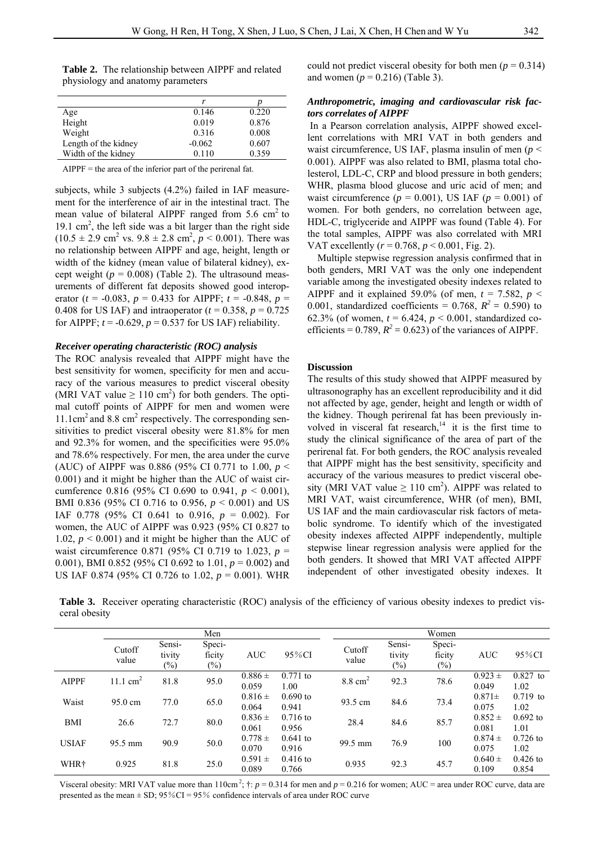**Table 2.** The relationship between AIPPF and related physiology and anatomy parameters

|                      | r        |       |
|----------------------|----------|-------|
| Age                  | 0.146    | 0.220 |
| Height               | 0.019    | 0.876 |
| Weight               | 0.316    | 0.008 |
| Length of the kidney | $-0.062$ | 0.607 |
| Width of the kidney  | 0.110    | 0.359 |

 $AIPPF =$  the area of the inferior part of the perirenal fat.

subjects, while 3 subjects (4.2%) failed in IAF measurement for the interference of air in the intestinal tract. The mean value of bilateral AIPPF ranged from  $5.6 \text{ cm}^2$  to 19.1  $\text{cm}^2$ , the left side was a bit larger than the right side  $(10.5 \pm 2.9 \text{ cm}^2 \text{ vs. } 9.8 \pm 2.8 \text{ cm}^2, p \le 0.001)$ . There was no relationship between AIPPF and age, height, length or width of the kidney (mean value of bilateral kidney), except weight  $(p = 0.008)$  (Table 2). The ultrasound measurements of different fat deposits showed good interoperator ( $t = -0.083$ ,  $p = 0.433$  for AIPPF;  $t = -0.848$ ,  $p =$ 0.408 for US IAF) and intraoperator  $(t = 0.358, p = 0.725)$ for AIPPF;  $t = -0.629$ ,  $p = 0.537$  for US IAF) reliability.

#### *Receiver operating characteristic (ROC) analysis*

The ROC analysis revealed that AIPPF might have the best sensitivity for women, specificity for men and accuracy of the various measures to predict visceral obesity (MRI VAT value  $\geq 110$  cm<sup>2</sup>) for both genders. The optimal cutoff points of AIPPF for men and women were 11.1cm<sup>2</sup> and 8.8 cm<sup>2</sup> respectively. The corresponding sensitivities to predict visceral obesity were 81.8% for men and 92.3% for women, and the specificities were 95.0% and 78.6% respectively. For men, the area under the curve (AUC) of AIPPF was 0.886 (95% CI 0.771 to 1.00, *p* < 0.001) and it might be higher than the AUC of waist circumference 0.816 (95% CI 0.690 to 0.941, *p* < 0.001), BMI 0.836 (95% CI 0.716 to 0.956, *p* < 0.001) and US IAF 0.778 (95% CI 0.641 to 0.916,  $p = 0.002$ ). For women, the AUC of AIPPF was 0.923 (95% CI 0.827 to 1.02,  $p < 0.001$ ) and it might be higher than the AUC of waist circumference 0.871 (95% CI 0.719 to 1.023, *p* = 0.001), BMI 0.852 (95% CI 0.692 to 1.01, *p* = 0.002) and US IAF 0.874 (95% CI 0.726 to 1.02, *p* = 0.001). WHR

could not predict visceral obesity for both men ( $p = 0.314$ ) and women  $(p = 0.216)$  (Table 3).

# *Anthropometric, imaging and cardiovascular risk factors correlates of AIPPF*

In a Pearson correlation analysis, AIPPF showed excellent correlations with MRI VAT in both genders and waist circumference, US IAF, plasma insulin of men (*p* < 0.001). AIPPF was also related to BMI, plasma total cholesterol, LDL-C, CRP and blood pressure in both genders; WHR, plasma blood glucose and uric acid of men; and waist circumference  $(p = 0.001)$ , US IAF  $(p = 0.001)$  of women. For both genders, no correlation between age, HDL-C, triglyceride and AIPPF was found (Table 4). For the total samples, AIPPF was also correlated with MRI VAT excellently (*r* = 0.768, *p* < 0.001, Fig. 2).

Multiple stepwise regression analysis confirmed that in both genders, MRI VAT was the only one independent variable among the investigated obesity indexes related to AIPPF and it explained 59.0% (of men,  $t = 7.582$ ,  $p <$ 0.001, standardized coefficients =  $0.768$ ,  $R^2 = 0.590$ ) to 62.3% (of women,  $t = 6.424$ ,  $p < 0.001$ , standardized coefficients =  $0.789$ ,  $R^2 = 0.623$ ) of the variances of AIPPF.

#### **Discussion**

The results of this study showed that AIPPF measured by ultrasonography has an excellent reproducibility and it did not affected by age, gender, height and length or width of the kidney. Though perirenal fat has been previously involved in visceral fat research, $14$  it is the first time to study the clinical significance of the area of part of the perirenal fat. For both genders, the ROC analysis revealed that AIPPF might has the best sensitivity, specificity and accuracy of the various measures to predict visceral obesity (MRI VAT value  $\geq 110 \text{ cm}^2$ ). AIPPF was related to MRI VAT, waist circumference, WHR (of men), BMI, US IAF and the main cardiovascular risk factors of metabolic syndrome. To identify which of the investigated obesity indexes affected AIPPF independently, multiple stepwise linear regression analysis were applied for the both genders. It showed that MRI VAT affected AIPPF independent of other investigated obesity indexes. It

**Table 3.** Receiver operating characteristic (ROC) analysis of the efficiency of various obesity indexes to predict visceral obesity

|                  | Men                 |                            |                            |                      |                     | Women              |                            |                            |                      |                     |
|------------------|---------------------|----------------------------|----------------------------|----------------------|---------------------|--------------------|----------------------------|----------------------------|----------------------|---------------------|
|                  | Cutoff<br>value     | Sensi-<br>tivity<br>$(\%)$ | Speci-<br>ficity<br>$(\%)$ | <b>AUC</b>           | 95%CI               | Cutoff<br>value    | Sensi-<br>tivity<br>$(\%)$ | Speci-<br>ficity<br>$(\%)$ | <b>AUC</b>           | 95%CI               |
| <b>AIPPF</b>     | $11.1 \text{ cm}^2$ | 81.8                       | 95.0                       | $0.886 \pm$<br>0.059 | $0.771$ to<br>1.00  | $8.8 \text{ cm}^2$ | 92.3                       | 78.6                       | $0.923 \pm$<br>0.049 | $0.827$ to<br>1.02  |
| Waist            | $95.0 \text{ cm}$   | 77.0                       | 65.0                       | $0.816 \pm$<br>0.064 | $0.690$ to<br>0.941 | 93.5 cm            | 84.6                       | 73.4                       | $0.871 \pm$<br>0.075 | $0.719$ to<br>1.02  |
| <b>BMI</b>       | 26.6                | 72.7                       | 80.0                       | $0.836 \pm$<br>0.061 | $0.716$ to<br>0.956 | 28.4               | 84.6                       | 85.7                       | $0.852 \pm$<br>0.081 | $0.692$ to<br>1.01  |
| <b>USIAF</b>     | 95.5 mm             | 90.9                       | 50.0                       | $0.778 \pm$<br>0.070 | $0.641$ to<br>0.916 | 99.5 mm            | 76.9                       | 100                        | $0.874 \pm$<br>0.075 | $0.726$ to<br>1.02  |
| WHR <sup>+</sup> | 0.925               | 81.8                       | 25.0                       | $0.591 \pm$<br>0.089 | $0.416$ to<br>0.766 | 0.935              | 92.3                       | 45.7                       | $0.640 \pm$<br>0.109 | $0.426$ to<br>0.854 |

Visceral obesity: MRI VAT value more than  $110 \text{cm}^2$ ;  $\uparrow$ :  $p = 0.314$  for men and  $p = 0.216$  for women; AUC = area under ROC curve, data are presented as the mean  $\pm$  SD; 95%CI = 95% confidence intervals of area under ROC curve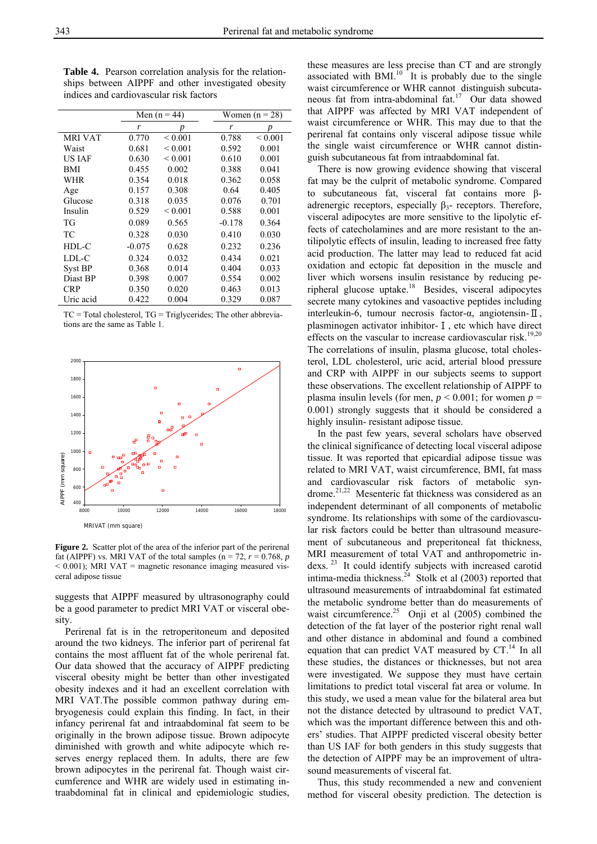Men  $(n = 44)$  Women  $(n = 28)$ *r p r p*  MRI VAT  $0.770 \le 0.001$   $0.788 \le 0.001$ Waist 0.681 < 0.001 0.592 0.001 US IAF  $0.630 \t 0.001 \t 0.610 \t 0.001$ BMI 0.455 0.002 0.388 0.041 WHR 0.354 0.018 0.362 0.058 Age 0.157 0.308 0.64 0.405 Glucose 0.318 0.035 0.076 0.701 Insulin 0.529 < 0.001 0.588 0.001 TG 0.089 0.565 -0.178 0.364 TC 0.328 0.030 0.410 0.030 HDL-C -0.075 0.628 0.232 0.236 LDL-C 0.324 0.032 0.434 0.021 Syst BP 0.368 0.014 0.404 0.033 Diast BP 0.398 0.007 0.554 0.002 CRP 0.350 0.020 0.463 0.013 Uric acid  $0.422$   $0.004$   $0.329$   $0.087$ 

**Table 4.** Pearson correlation analysis for the relationships between AIPPF and other investigated obesity indices and cardiovascular risk factors

 $TC = Total cholesterol, TG = Triglycerides; The other abbreviation$ tions are the same as Table 1.



**Figure 2.** Scatter plot of the area of the inferior part of the perirenal fat (AIPPF) vs. MRI VAT of the total samples ( $n = 72$ ,  $r = 0.768$ ,  $p$  $<$  0.001); MRI VAT = magnetic resonance imaging measured visceral adipose tissue

suggests that AIPPF measured by ultrasonography could be a good parameter to predict MRI VAT or visceral obesity.

Perirenal fat is in the retroperitoneum and deposited around the two kidneys. The inferior part of perirenal fat contains the most affluent fat of the whole perirenal fat. Our data showed that the accuracy of AIPPF predicting visceral obesity might be better than other investigated obesity indexes and it had an excellent correlation with MRI VAT.The possible common pathway during embryogenesis could explain this finding. In fact, in their infancy perirenal fat and intraabdominal fat seem to be originally in the brown adipose tissue. Brown adipocyte diminished with growth and white adipocyte which reserves energy replaced them. In adults, there are few brown adipocytes in the perirenal fat. Though waist circumference and WHR are widely used in estimating intraabdominal fat in clinical and epidemiologic studies,

these measures are less precise than CT and are strongly associated with  $BMI<sup>10</sup>$  It is probably due to the single waist circumference or WHR cannot distinguish subcutaneous fat from intra-abdominal fat.17 Our data showed that AIPPF was affected by MRI VAT independent of waist circumference or WHR. This may due to that the perirenal fat contains only visceral adipose tissue while the single waist circumference or WHR cannot distinguish subcutaneous fat from intraabdominal fat.

 There is now growing evidence showing that visceral fat may be the culprit of metabolic syndrome. Compared to subcutaneous fat, visceral fat contains more βadrenergic receptors, especially  $\beta_3$ - receptors. Therefore, visceral adipocytes are more sensitive to the lipolytic effects of catecholamines and are more resistant to the antilipolytic effects of insulin, leading to increased free fatty acid production. The latter may lead to reduced fat acid oxidation and ectopic fat deposition in the muscle and liver which worsens insulin resistance by reducing peripheral glucose uptake.18 Besides, visceral adipocytes secrete many cytokines and vasoactive peptides including interleukin-6, tumour necrosis factor-α, angiotensin-Ⅱ, plasminogen activator inhibitor-Ⅰ, etc which have direct effects on the vascular to increase cardiovascular risk.<sup>19,20</sup> The correlations of insulin, plasma glucose, total cholesterol, LDL cholesterol, uric acid, arterial blood pressure and CRP with AIPPF in our subjects seems to support these observations. The excellent relationship of AIPPF to plasma insulin levels (for men,  $p \le 0.001$ ; for women  $p =$ 0.001) strongly suggests that it should be considered a highly insulin- resistant adipose tissue.

 In the past few years, several scholars have observed the clinical significance of detecting local visceral adipose tissue. It was reported that epicardial adipose tissue was related to MRI VAT, waist circumference, BMI, fat mass and cardiovascular risk factors of metabolic syndrome.<sup>21,22</sup> Mesenteric fat thickness was considered as an independent determinant of all components of metabolic syndrome. Its relationships with some of the cardiovascular risk factors could be better than ultrasound measurement of subcutaneous and preperitoneal fat thickness, MRI measurement of total VAT and anthropometric indexs. 23 It could identify subjects with increased carotid intima-media thickness.<sup>24</sup> Stolk et al (2003) reported that ultrasound measurements of intraabdominal fat estimated the metabolic syndrome better than do measurements of waist circumference.<sup>25</sup> Onji et al  $(2005)$  combined the detection of the fat layer of the posterior right renal wall and other distance in abdominal and found a combined equation that can predict VAT measured by  $CT.^{14}$  In all these studies, the distances or thicknesses, but not area were investigated. We suppose they must have certain limitations to predict total visceral fat area or volume. In this study, we used a mean value for the bilateral area but not the distance detected by ultrasound to predict VAT, which was the important difference between this and others' studies. That AIPPF predicted visceral obesity better than US IAF for both genders in this study suggests that the detection of AIPPF may be an improvement of ultrasound measurements of visceral fat.

 Thus, this study recommended a new and convenient method for visceral obesity prediction. The detection is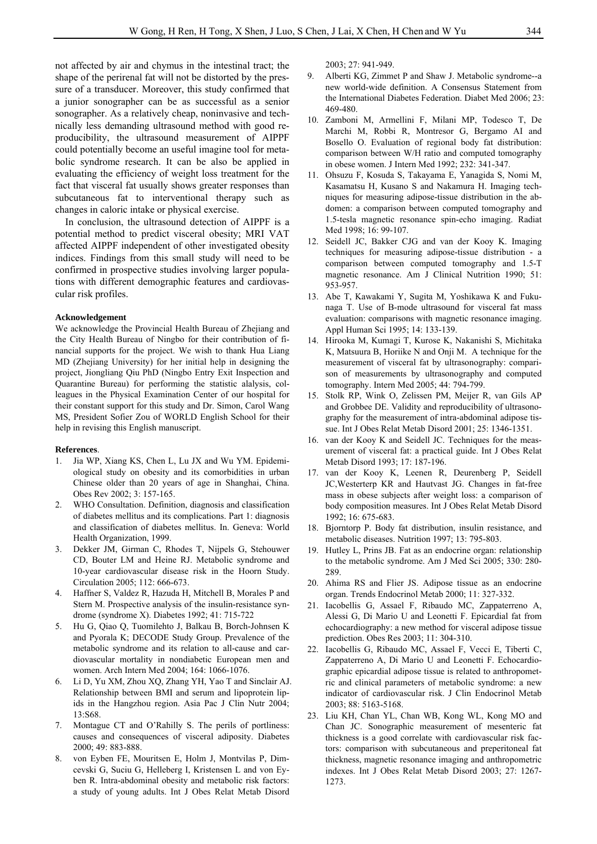not affected by air and chymus in the intestinal tract; the shape of the perirenal fat will not be distorted by the pressure of a transducer. Moreover, this study confirmed that a junior sonographer can be as successful as a senior sonographer. As a relatively cheap, noninvasive and technically less demanding ultrasound method with good reproducibility, the ultrasound measurement of AIPPF could potentially become an useful imagine tool for metabolic syndrome research. It can be also be applied in evaluating the efficiency of weight loss treatment for the fact that visceral fat usually shows greater responses than subcutaneous fat to interventional therapy such as changes in caloric intake or physical exercise.

In conclusion, the ultrasound detection of AIPPF is a potential method to predict visceral obesity; MRI VAT affected AIPPF independent of other investigated obesity indices. Findings from this small study will need to be confirmed in prospective studies involving larger populations with different demographic features and cardiovascular risk profiles.

#### **Acknowledgement**

We acknowledge the Provincial Health Bureau of Zhejiang and the City Health Bureau of Ningbo for their contribution of financial supports for the project. We wish to thank Hua Liang MD (Zhejiang University) for her initial help in designing the project, Jiongliang Qiu PhD (Ningbo Entry Exit Inspection and Quarantine Bureau) for performing the statistic alalysis, colleagues in the Physical Examination Center of our hospital for their constant support for this study and Dr. Simon, Carol Wang MS, President Sofier Zou of WORLD English School for their help in revising this English manuscript.

#### **References**.

- 1. Jia WP, Xiang KS, Chen L, Lu JX and Wu YM. Epidemiological study on obesity and its comorbidities in urban Chinese older than 20 years of age in Shanghai, China. Obes Rev 2002; 3: 157-165.
- 2. WHO Consultation. Definition, diagnosis and classification of diabetes mellitus and its complications. Part 1: diagnosis and classification of diabetes mellitus. In. Geneva: World Health Organization, 1999.
- 3. Dekker JM, Girman C, Rhodes T, Nijpels G, Stehouwer CD, Bouter LM and Heine RJ. Metabolic syndrome and 10-year cardiovascular disease risk in the Hoorn Study. Circulation 2005; 112: 666-673.
- 4. Haffner S, Valdez R, Hazuda H, Mitchell B, Morales P and Stern M. Prospective analysis of the insulin-resistance syndrome (syndrome X). Diabetes 1992; 41: 715-722
- 5. Hu G, Qiao Q, Tuomilehto J, Balkau B, Borch-Johnsen K and Pyorala K; DECODE Study Group. Prevalence of the metabolic syndrome and its relation to all-cause and cardiovascular mortality in nondiabetic European men and women. Arch Intern Med 2004; 164: 1066-1076.
- 6. Li D, Yu XM, Zhou XQ, Zhang YH, Yao T and Sinclair AJ. Relationship between BMI and serum and lipoprotein lipids in the Hangzhou region. Asia Pac J Clin Nutr 2004; 13:S68.
- 7. Montague CT and O'Rahilly S. The perils of portliness: causes and consequences of visceral adiposity. Diabetes 2000; 49: 883-888.
- 8. von Eyben FE, Mouritsen E, Holm J, Montvilas P, Dimcevski G, Suciu G, Helleberg I, Kristensen L and von Eyben R. Intra-abdominal obesity and metabolic risk factors: a study of young adults. Int J Obes Relat Metab Disord

2003; 27: 941-949.

- 9. Alberti KG, Zimmet P and Shaw J. Metabolic syndrome--a new world-wide definition. A Consensus Statement from the International Diabetes Federation. Diabet Med 2006; 23: 469-480.
- 10. Zamboni M, Armellini F, Milani MP, Todesco T, De Marchi M, Robbi R, Montresor G, Bergamo AI and Bosello O. Evaluation of regional body fat distribution: comparison between W/H ratio and computed tomography in obese women. J Intern Med 1992; 232: 341-347.
- 11. Ohsuzu F, Kosuda S, Takayama E, Yanagida S, Nomi M, Kasamatsu H, Kusano S and Nakamura H. Imaging techniques for measuring adipose-tissue distribution in the abdomen: a comparison between computed tomography and 1.5-tesla magnetic resonance spin-echo imaging. Radiat Med 1998; 16: 99-107.
- 12. Seidell JC, Bakker CJG and van der Kooy K. Imaging techniques for measuring adipose-tissue distribution - a comparison between computed tomography and 1.5-T magnetic resonance. Am J Clinical Nutrition 1990; 51: 953-957.
- 13. Abe T, Kawakami Y, Sugita M, Yoshikawa K and Fukunaga T. Use of B-mode ultrasound for visceral fat mass evaluation: comparisons with magnetic resonance imaging. Appl Human Sci 1995; 14: 133-139.
- 14. Hirooka M, Kumagi T, Kurose K, Nakanishi S, Michitaka K, Matsuura B, Horiike N and Onji M. A technique for the measurement of visceral fat by ultrasonography: comparison of measurements by ultrasonography and computed tomography. Intern Med 2005; 44: 794-799.
- 15. Stolk RP, Wink O, Zelissen PM, Meijer R, van Gils AP and Grobbee DE. Validity and reproducibility of ultrasonography for the measurement of intra-abdominal adipose tissue. Int J Obes Relat Metab Disord 2001; 25: 1346-1351.
- 16. van der Kooy K and Seidell JC. Techniques for the measurement of visceral fat: a practical guide. Int J Obes Relat Metab Disord 1993; 17: 187-196.
- 17. van der Kooy K, Leenen R, Deurenberg P, Seidell JC,Westerterp KR and Hautvast JG. Changes in fat-free mass in obese subjects after weight loss: a comparison of body composition measures. Int J Obes Relat Metab Disord 1992; 16: 675-683.
- 18. Bjorntorp P. Body fat distribution, insulin resistance, and metabolic diseases. Nutrition 1997; 13: 795-803.
- 19. Hutley L, Prins JB. Fat as an endocrine organ: relationship to the metabolic syndrome. Am J Med Sci 2005; 330: 280- 289
- 20. Ahima RS and Flier JS. Adipose tissue as an endocrine organ. Trends Endocrinol Metab 2000; 11: 327-332.
- 21. Iacobellis G, Assael F, Ribaudo MC, Zappaterreno A, Alessi G, Di Mario U and Leonetti F. Epicardial fat from echocardiography: a new method for visceral adipose tissue prediction. Obes Res 2003; 11: 304-310.
- 22. Iacobellis G, Ribaudo MC, Assael F, Vecci E, Tiberti C, Zappaterreno A, Di Mario U and Leonetti F. Echocardiographic epicardial adipose tissue is related to anthropometric and clinical parameters of metabolic syndrome: a new indicator of cardiovascular risk. J Clin Endocrinol Metab 2003; 88: 5163-5168.
- 23. Liu KH, Chan YL, Chan WB, Kong WL, Kong MO and Chan JC. Sonographic measurement of mesenteric fat thickness is a good correlate with cardiovascular risk factors: comparison with subcutaneous and preperitoneal fat thickness, magnetic resonance imaging and anthropometric indexes. Int J Obes Relat Metab Disord 2003; 27: 1267- 1273.